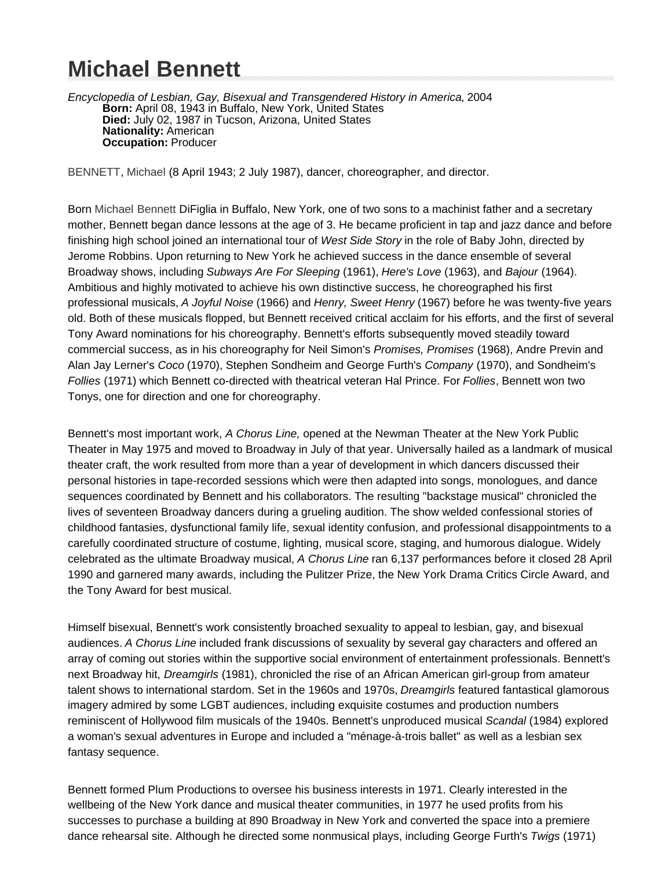# **Michael Bennett**

Encyclopedia of Lesbian, Gay, Bisexual and Transgendered History in America, 2004 **Born:** April 08, 1943 in Buffalo, New York, United States **Died:** July 02, 1987 in Tucson, Arizona, United States **Nationality:** American **Occupation:** Producer

BENNETT, Michael (8 April 1943; 2 July 1987), dancer, choreographer, and director.

Born Michael Bennett DiFiglia in Buffalo, New York, one of two sons to a machinist father and a secretary mother, Bennett began dance lessons at the age of 3. He became proficient in tap and jazz dance and before finishing high school joined an international tour of West Side Story in the role of Baby John, directed by Jerome Robbins. Upon returning to New York he achieved success in the dance ensemble of several Broadway shows, including Subways Are For Sleeping (1961), Here's Love (1963), and Bajour (1964). Ambitious and highly motivated to achieve his own distinctive success, he choreographed his first professional musicals, A Joyful Noise (1966) and Henry, Sweet Henry (1967) before he was twenty-five years old. Both of these musicals flopped, but Bennett received critical acclaim for his efforts, and the first of several Tony Award nominations for his choreography. Bennett's efforts subsequently moved steadily toward commercial success, as in his choreography for Neil Simon's Promises, Promises (1968), Andre Previn and Alan Jay Lerner's Coco (1970), Stephen Sondheim and George Furth's Company (1970), and Sondheim's Follies (1971) which Bennett co-directed with theatrical veteran Hal Prince. For Follies, Bennett won two Tonys, one for direction and one for choreography.

Bennett's most important work, A Chorus Line, opened at the Newman Theater at the New York Public Theater in May 1975 and moved to Broadway in July of that year. Universally hailed as a landmark of musical theater craft, the work resulted from more than a year of development in which dancers discussed their personal histories in tape-recorded sessions which were then adapted into songs, monologues, and dance sequences coordinated by Bennett and his collaborators. The resulting "backstage musical" chronicled the lives of seventeen Broadway dancers during a grueling audition. The show welded confessional stories of childhood fantasies, dysfunctional family life, sexual identity confusion, and professional disappointments to a carefully coordinated structure of costume, lighting, musical score, staging, and humorous dialogue. Widely celebrated as the ultimate Broadway musical, A Chorus Line ran 6,137 performances before it closed 28 April 1990 and garnered many awards, including the Pulitzer Prize, the New York Drama Critics Circle Award, and the Tony Award for best musical.

Himself bisexual, Bennett's work consistently broached sexuality to appeal to lesbian, gay, and bisexual audiences. A Chorus Line included frank discussions of sexuality by several gay characters and offered an array of coming out stories within the supportive social environment of entertainment professionals. Bennett's next Broadway hit, Dreamgirls (1981), chronicled the rise of an African American girl-group from amateur talent shows to international stardom. Set in the 1960s and 1970s, Dreamgirls featured fantastical glamorous imagery admired by some LGBT audiences, including exquisite costumes and production numbers reminiscent of Hollywood film musicals of the 1940s. Bennett's unproduced musical Scandal (1984) explored a woman's sexual adventures in Europe and included a "ménage-à-trois ballet" as well as a lesbian sex fantasy sequence.

Bennett formed Plum Productions to oversee his business interests in 1971. Clearly interested in the wellbeing of the New York dance and musical theater communities, in 1977 he used profits from his successes to purchase a building at 890 Broadway in New York and converted the space into a premiere dance rehearsal site. Although he directed some nonmusical plays, including George Furth's Twigs (1971)